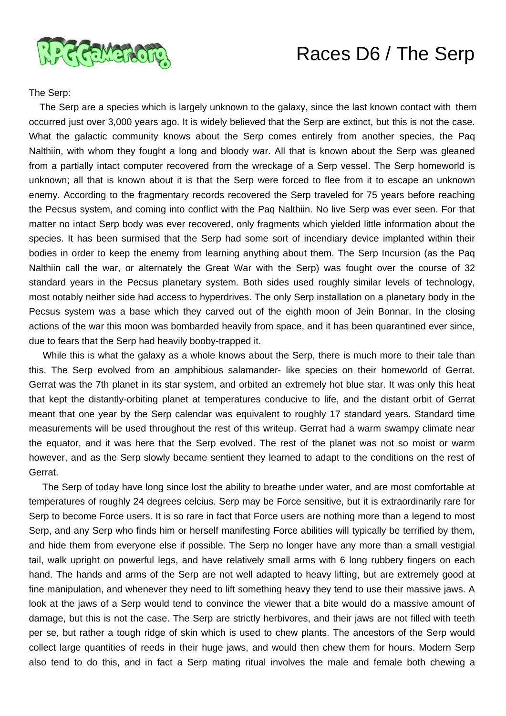

## Races D6 / The Serp

The Serp:

 The Serp are a species which is largely unknown to the galaxy, since the last known contact with them occurred just over 3,000 years ago. It is widely believed that the Serp are extinct, but this is not the case. What the galactic community knows about the Serp comes entirely from another species, the Paq Nalthiin, with whom they fought a long and bloody war. All that is known about the Serp was gleaned from a partially intact computer recovered from the wreckage of a Serp vessel. The Serp homeworld is unknown; all that is known about it is that the Serp were forced to flee from it to escape an unknown enemy. According to the fragmentary records recovered the Serp traveled for 75 years before reaching the Pecsus system, and coming into conflict with the Paq Nalthiin. No live Serp was ever seen. For that matter no intact Serp body was ever recovered, only fragments which yielded little information about the species. It has been surmised that the Serp had some sort of incendiary device implanted within their bodies in order to keep the enemy from learning anything about them. The Serp Incursion (as the Paq Nalthiin call the war, or alternately the Great War with the Serp) was fought over the course of 32 standard years in the Pecsus planetary system. Both sides used roughly similar levels of technology, most notably neither side had access to hyperdrives. The only Serp installation on a planetary body in the Pecsus system was a base which they carved out of the eighth moon of Jein Bonnar. In the closing actions of the war this moon was bombarded heavily from space, and it has been quarantined ever since, due to fears that the Serp had heavily booby-trapped it.

 While this is what the galaxy as a whole knows about the Serp, there is much more to their tale than this. The Serp evolved from an amphibious salamander- like species on their homeworld of Gerrat. Gerrat was the 7th planet in its star system, and orbited an extremely hot blue star. It was only this heat that kept the distantly-orbiting planet at temperatures conducive to life, and the distant orbit of Gerrat meant that one year by the Serp calendar was equivalent to roughly 17 standard years. Standard time measurements will be used throughout the rest of this writeup. Gerrat had a warm swampy climate near the equator, and it was here that the Serp evolved. The rest of the planet was not so moist or warm however, and as the Serp slowly became sentient they learned to adapt to the conditions on the rest of Gerrat.

 The Serp of today have long since lost the ability to breathe under water, and are most comfortable at temperatures of roughly 24 degrees celcius. Serp may be Force sensitive, but it is extraordinarily rare for Serp to become Force users. It is so rare in fact that Force users are nothing more than a legend to most Serp, and any Serp who finds him or herself manifesting Force abilities will typically be terrified by them, and hide them from everyone else if possible. The Serp no longer have any more than a small vestigial tail, walk upright on powerful legs, and have relatively small arms with 6 long rubbery fingers on each hand. The hands and arms of the Serp are not well adapted to heavy lifting, but are extremely good at fine manipulation, and whenever they need to lift something heavy they tend to use their massive jaws. A look at the jaws of a Serp would tend to convince the viewer that a bite would do a massive amount of damage, but this is not the case. The Serp are strictly herbivores, and their jaws are not filled with teeth per se, but rather a tough ridge of skin which is used to chew plants. The ancestors of the Serp would collect large quantities of reeds in their huge jaws, and would then chew them for hours. Modern Serp also tend to do this, and in fact a Serp mating ritual involves the male and female both chewing a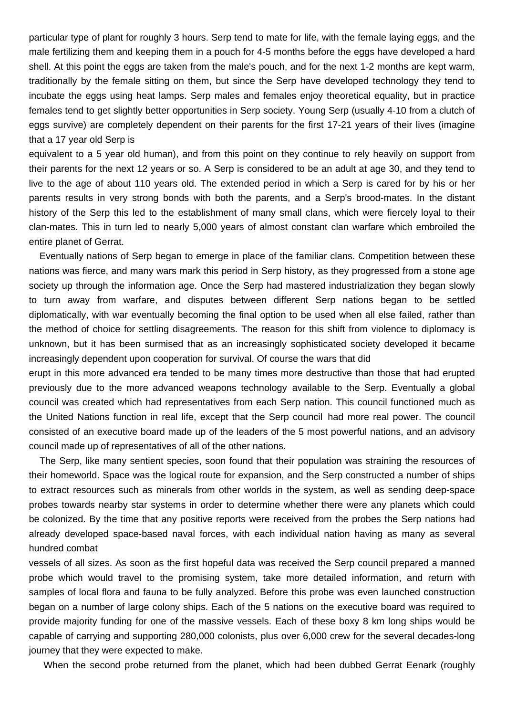particular type of plant for roughly 3 hours. Serp tend to mate for life, with the female laying eggs, and the male fertilizing them and keeping them in a pouch for 4-5 months before the eggs have developed a hard shell. At this point the eggs are taken from the male's pouch, and for the next 1-2 months are kept warm, traditionally by the female sitting on them, but since the Serp have developed technology they tend to incubate the eggs using heat lamps. Serp males and females enjoy theoretical equality, but in practice females tend to get slightly better opportunities in Serp society. Young Serp (usually 4-10 from a clutch of eggs survive) are completely dependent on their parents for the first 17-21 years of their lives (imagine that a 17 year old Serp is

equivalent to a 5 year old human), and from this point on they continue to rely heavily on support from their parents for the next 12 years or so. A Serp is considered to be an adult at age 30, and they tend to live to the age of about 110 years old. The extended period in which a Serp is cared for by his or her parents results in very strong bonds with both the parents, and a Serp's brood-mates. In the distant history of the Serp this led to the establishment of many small clans, which were fiercely loyal to their clan-mates. This in turn led to nearly 5,000 years of almost constant clan warfare which embroiled the entire planet of Gerrat.

 Eventually nations of Serp began to emerge in place of the familiar clans. Competition between these nations was fierce, and many wars mark this period in Serp history, as they progressed from a stone age society up through the information age. Once the Serp had mastered industrialization they began slowly to turn away from warfare, and disputes between different Serp nations began to be settled diplomatically, with war eventually becoming the final option to be used when all else failed, rather than the method of choice for settling disagreements. The reason for this shift from violence to diplomacy is unknown, but it has been surmised that as an increasingly sophisticated society developed it became increasingly dependent upon cooperation for survival. Of course the wars that did

erupt in this more advanced era tended to be many times more destructive than those that had erupted previously due to the more advanced weapons technology available to the Serp. Eventually a global council was created which had representatives from each Serp nation. This council functioned much as the United Nations function in real life, except that the Serp council had more real power. The council consisted of an executive board made up of the leaders of the 5 most powerful nations, and an advisory council made up of representatives of all of the other nations.

 The Serp, like many sentient species, soon found that their population was straining the resources of their homeworld. Space was the logical route for expansion, and the Serp constructed a number of ships to extract resources such as minerals from other worlds in the system, as well as sending deep-space probes towards nearby star systems in order to determine whether there were any planets which could be colonized. By the time that any positive reports were received from the probes the Serp nations had already developed space-based naval forces, with each individual nation having as many as several hundred combat

vessels of all sizes. As soon as the first hopeful data was received the Serp council prepared a manned probe which would travel to the promising system, take more detailed information, and return with samples of local flora and fauna to be fully analyzed. Before this probe was even launched construction began on a number of large colony ships. Each of the 5 nations on the executive board was required to provide majority funding for one of the massive vessels. Each of these boxy 8 km long ships would be capable of carrying and supporting 280,000 colonists, plus over 6,000 crew for the several decades-long journey that they were expected to make.

When the second probe returned from the planet, which had been dubbed Gerrat Eenark (roughly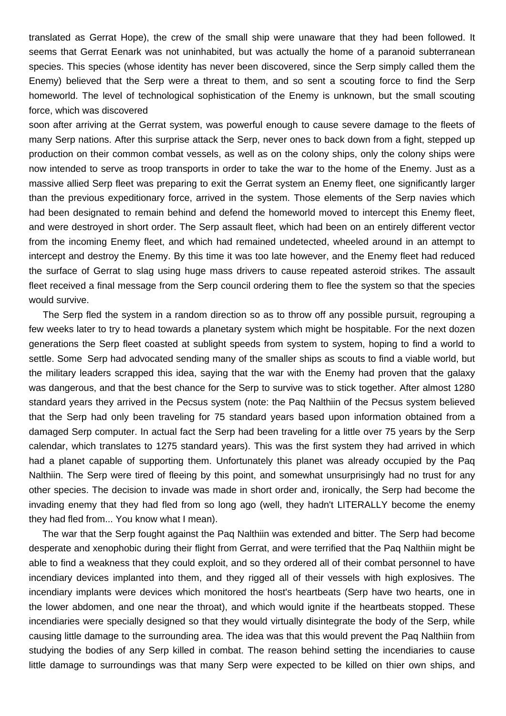translated as Gerrat Hope), the crew of the small ship were unaware that they had been followed. It seems that Gerrat Eenark was not uninhabited, but was actually the home of a paranoid subterranean species. This species (whose identity has never been discovered, since the Serp simply called them the Enemy) believed that the Serp were a threat to them, and so sent a scouting force to find the Serp homeworld. The level of technological sophistication of the Enemy is unknown, but the small scouting force, which was discovered

soon after arriving at the Gerrat system, was powerful enough to cause severe damage to the fleets of many Serp nations. After this surprise attack the Serp, never ones to back down from a fight, stepped up production on their common combat vessels, as well as on the colony ships, only the colony ships were now intended to serve as troop transports in order to take the war to the home of the Enemy. Just as a massive allied Serp fleet was preparing to exit the Gerrat system an Enemy fleet, one significantly larger than the previous expeditionary force, arrived in the system. Those elements of the Serp navies which had been designated to remain behind and defend the homeworld moved to intercept this Enemy fleet, and were destroyed in short order. The Serp assault fleet, which had been on an entirely different vector from the incoming Enemy fleet, and which had remained undetected, wheeled around in an attempt to intercept and destroy the Enemy. By this time it was too late however, and the Enemy fleet had reduced the surface of Gerrat to slag using huge mass drivers to cause repeated asteroid strikes. The assault fleet received a final message from the Serp council ordering them to flee the system so that the species would survive.

 The Serp fled the system in a random direction so as to throw off any possible pursuit, regrouping a few weeks later to try to head towards a planetary system which might be hospitable. For the next dozen generations the Serp fleet coasted at sublight speeds from system to system, hoping to find a world to settle. Some Serp had advocated sending many of the smaller ships as scouts to find a viable world, but the military leaders scrapped this idea, saying that the war with the Enemy had proven that the galaxy was dangerous, and that the best chance for the Serp to survive was to stick together. After almost 1280 standard years they arrived in the Pecsus system (note: the Paq Nalthiin of the Pecsus system believed that the Serp had only been traveling for 75 standard years based upon information obtained from a damaged Serp computer. In actual fact the Serp had been traveling for a little over 75 years by the Serp calendar, which translates to 1275 standard years). This was the first system they had arrived in which had a planet capable of supporting them. Unfortunately this planet was already occupied by the Paq Nalthiin. The Serp were tired of fleeing by this point, and somewhat unsurprisingly had no trust for any other species. The decision to invade was made in short order and, ironically, the Serp had become the invading enemy that they had fled from so long ago (well, they hadn't LITERALLY become the enemy they had fled from... You know what I mean).

 The war that the Serp fought against the Paq Nalthiin was extended and bitter. The Serp had become desperate and xenophobic during their flight from Gerrat, and were terrified that the Paq Nalthiin might be able to find a weakness that they could exploit, and so they ordered all of their combat personnel to have incendiary devices implanted into them, and they rigged all of their vessels with high explosives. The incendiary implants were devices which monitored the host's heartbeats (Serp have two hearts, one in the lower abdomen, and one near the throat), and which would ignite if the heartbeats stopped. These incendiaries were specially designed so that they would virtually disintegrate the body of the Serp, while causing little damage to the surrounding area. The idea was that this would prevent the Paq Nalthiin from studying the bodies of any Serp killed in combat. The reason behind setting the incendiaries to cause little damage to surroundings was that many Serp were expected to be killed on thier own ships, and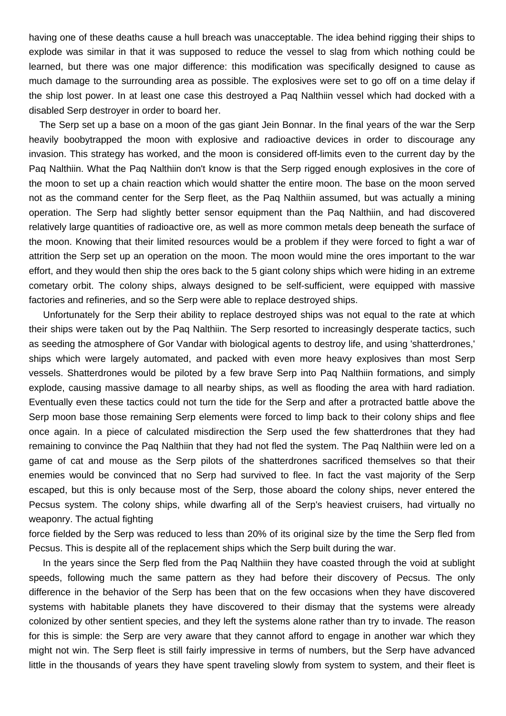having one of these deaths cause a hull breach was unacceptable. The idea behind rigging their ships to explode was similar in that it was supposed to reduce the vessel to slag from which nothing could be learned, but there was one major difference: this modification was specifically designed to cause as much damage to the surrounding area as possible. The explosives were set to go off on a time delay if the ship lost power. In at least one case this destroyed a Paq Nalthiin vessel which had docked with a disabled Serp destroyer in order to board her.

 The Serp set up a base on a moon of the gas giant Jein Bonnar. In the final years of the war the Serp heavily boobytrapped the moon with explosive and radioactive devices in order to discourage any invasion. This strategy has worked, and the moon is considered off-limits even to the current day by the Paq Nalthiin. What the Paq Nalthiin don't know is that the Serp rigged enough explosives in the core of the moon to set up a chain reaction which would shatter the entire moon. The base on the moon served not as the command center for the Serp fleet, as the Paq Nalthiin assumed, but was actually a mining operation. The Serp had slightly better sensor equipment than the Paq Nalthiin, and had discovered relatively large quantities of radioactive ore, as well as more common metals deep beneath the surface of the moon. Knowing that their limited resources would be a problem if they were forced to fight a war of attrition the Serp set up an operation on the moon. The moon would mine the ores important to the war effort, and they would then ship the ores back to the 5 giant colony ships which were hiding in an extreme cometary orbit. The colony ships, always designed to be self-sufficient, were equipped with massive factories and refineries, and so the Serp were able to replace destroyed ships.

 Unfortunately for the Serp their ability to replace destroyed ships was not equal to the rate at which their ships were taken out by the Paq Nalthiin. The Serp resorted to increasingly desperate tactics, such as seeding the atmosphere of Gor Vandar with biological agents to destroy life, and using 'shatterdrones,' ships which were largely automated, and packed with even more heavy explosives than most Serp vessels. Shatterdrones would be piloted by a few brave Serp into Paq Nalthiin formations, and simply explode, causing massive damage to all nearby ships, as well as flooding the area with hard radiation. Eventually even these tactics could not turn the tide for the Serp and after a protracted battle above the Serp moon base those remaining Serp elements were forced to limp back to their colony ships and flee once again. In a piece of calculated misdirection the Serp used the few shatterdrones that they had remaining to convince the Paq Nalthiin that they had not fled the system. The Paq Nalthiin were led on a game of cat and mouse as the Serp pilots of the shatterdrones sacrificed themselves so that their enemies would be convinced that no Serp had survived to flee. In fact the vast majority of the Serp escaped, but this is only because most of the Serp, those aboard the colony ships, never entered the Pecsus system. The colony ships, while dwarfing all of the Serp's heaviest cruisers, had virtually no weaponry. The actual fighting

force fielded by the Serp was reduced to less than 20% of its original size by the time the Serp fled from Pecsus. This is despite all of the replacement ships which the Serp built during the war.

 In the years since the Serp fled from the Paq Nalthiin they have coasted through the void at sublight speeds, following much the same pattern as they had before their discovery of Pecsus. The only difference in the behavior of the Serp has been that on the few occasions when they have discovered systems with habitable planets they have discovered to their dismay that the systems were already colonized by other sentient species, and they left the systems alone rather than try to invade. The reason for this is simple: the Serp are very aware that they cannot afford to engage in another war which they might not win. The Serp fleet is still fairly impressive in terms of numbers, but the Serp have advanced little in the thousands of years they have spent traveling slowly from system to system, and their fleet is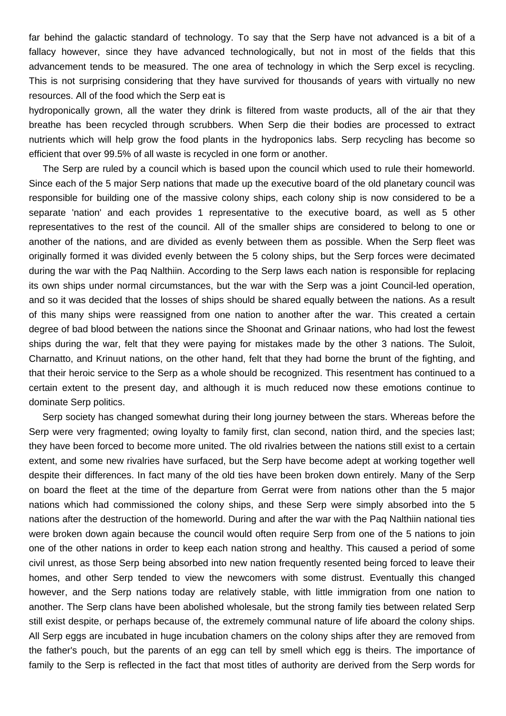far behind the galactic standard of technology. To say that the Serp have not advanced is a bit of a fallacy however, since they have advanced technologically, but not in most of the fields that this advancement tends to be measured. The one area of technology in which the Serp excel is recycling. This is not surprising considering that they have survived for thousands of years with virtually no new resources. All of the food which the Serp eat is

hydroponically grown, all the water they drink is filtered from waste products, all of the air that they breathe has been recycled through scrubbers. When Serp die their bodies are processed to extract nutrients which will help grow the food plants in the hydroponics labs. Serp recycling has become so efficient that over 99.5% of all waste is recycled in one form or another.

 The Serp are ruled by a council which is based upon the council which used to rule their homeworld. Since each of the 5 major Serp nations that made up the executive board of the old planetary council was responsible for building one of the massive colony ships, each colony ship is now considered to be a separate 'nation' and each provides 1 representative to the executive board, as well as 5 other representatives to the rest of the council. All of the smaller ships are considered to belong to one or another of the nations, and are divided as evenly between them as possible. When the Serp fleet was originally formed it was divided evenly between the 5 colony ships, but the Serp forces were decimated during the war with the Paq Nalthiin. According to the Serp laws each nation is responsible for replacing its own ships under normal circumstances, but the war with the Serp was a joint Council-led operation, and so it was decided that the losses of ships should be shared equally between the nations. As a result of this many ships were reassigned from one nation to another after the war. This created a certain degree of bad blood between the nations since the Shoonat and Grinaar nations, who had lost the fewest ships during the war, felt that they were paying for mistakes made by the other 3 nations. The Suloit, Charnatto, and Krinuut nations, on the other hand, felt that they had borne the brunt of the fighting, and that their heroic service to the Serp as a whole should be recognized. This resentment has continued to a certain extent to the present day, and although it is much reduced now these emotions continue to dominate Serp politics.

 Serp society has changed somewhat during their long journey between the stars. Whereas before the Serp were very fragmented; owing loyalty to family first, clan second, nation third, and the species last; they have been forced to become more united. The old rivalries between the nations still exist to a certain extent, and some new rivalries have surfaced, but the Serp have become adept at working together well despite their differences. In fact many of the old ties have been broken down entirely. Many of the Serp on board the fleet at the time of the departure from Gerrat were from nations other than the 5 major nations which had commissioned the colony ships, and these Serp were simply absorbed into the 5 nations after the destruction of the homeworld. During and after the war with the Paq Nalthiin national ties were broken down again because the council would often require Serp from one of the 5 nations to join one of the other nations in order to keep each nation strong and healthy. This caused a period of some civil unrest, as those Serp being absorbed into new nation frequently resented being forced to leave their homes, and other Serp tended to view the newcomers with some distrust. Eventually this changed however, and the Serp nations today are relatively stable, with little immigration from one nation to another. The Serp clans have been abolished wholesale, but the strong family ties between related Serp still exist despite, or perhaps because of, the extremely communal nature of life aboard the colony ships. All Serp eggs are incubated in huge incubation chamers on the colony ships after they are removed from the father's pouch, but the parents of an egg can tell by smell which egg is theirs. The importance of family to the Serp is reflected in the fact that most titles of authority are derived from the Serp words for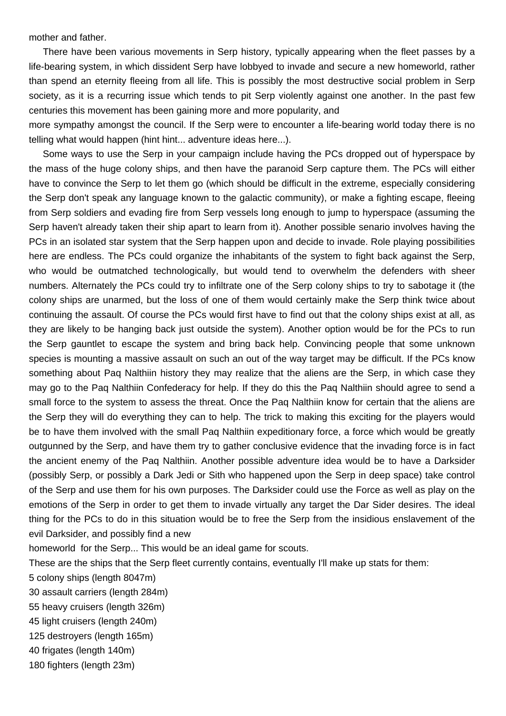mother and father.

 There have been various movements in Serp history, typically appearing when the fleet passes by a life-bearing system, in which dissident Serp have lobbyed to invade and secure a new homeworld, rather than spend an eternity fleeing from all life. This is possibly the most destructive social problem in Serp society, as it is a recurring issue which tends to pit Serp violently against one another. In the past few centuries this movement has been gaining more and more popularity, and

more sympathy amongst the council. If the Serp were to encounter a life-bearing world today there is no telling what would happen (hint hint... adventure ideas here...).

 Some ways to use the Serp in your campaign include having the PCs dropped out of hyperspace by the mass of the huge colony ships, and then have the paranoid Serp capture them. The PCs will either have to convince the Serp to let them go (which should be difficult in the extreme, especially considering the Serp don't speak any language known to the galactic community), or make a fighting escape, fleeing from Serp soldiers and evading fire from Serp vessels long enough to jump to hyperspace (assuming the Serp haven't already taken their ship apart to learn from it). Another possible senario involves having the PCs in an isolated star system that the Serp happen upon and decide to invade. Role playing possibilities here are endless. The PCs could organize the inhabitants of the system to fight back against the Serp, who would be outmatched technologically, but would tend to overwhelm the defenders with sheer numbers. Alternately the PCs could try to infiltrate one of the Serp colony ships to try to sabotage it (the colony ships are unarmed, but the loss of one of them would certainly make the Serp think twice about continuing the assault. Of course the PCs would first have to find out that the colony ships exist at all, as they are likely to be hanging back just outside the system). Another option would be for the PCs to run the Serp gauntlet to escape the system and bring back help. Convincing people that some unknown species is mounting a massive assault on such an out of the way target may be difficult. If the PCs know something about Paq Nalthiin history they may realize that the aliens are the Serp, in which case they may go to the Paq Nalthiin Confederacy for help. If they do this the Paq Nalthiin should agree to send a small force to the system to assess the threat. Once the Paq Nalthiin know for certain that the aliens are the Serp they will do everything they can to help. The trick to making this exciting for the players would be to have them involved with the small Paq Nalthiin expeditionary force, a force which would be greatly outgunned by the Serp, and have them try to gather conclusive evidence that the invading force is in fact the ancient enemy of the Paq Nalthiin. Another possible adventure idea would be to have a Darksider (possibly Serp, or possibly a Dark Jedi or Sith who happened upon the Serp in deep space) take control of the Serp and use them for his own purposes. The Darksider could use the Force as well as play on the emotions of the Serp in order to get them to invade virtually any target the Dar Sider desires. The ideal thing for the PCs to do in this situation would be to free the Serp from the insidious enslavement of the evil Darksider, and possibly find a new

homeworld for the Serp... This would be an ideal game for scouts.

These are the ships that the Serp fleet currently contains, eventually I'll make up stats for them:

5 colony ships (length 8047m)

30 assault carriers (length 284m)

55 heavy cruisers (length 326m)

45 light cruisers (length 240m)

125 destroyers (length 165m)

40 frigates (length 140m)

180 fighters (length 23m)